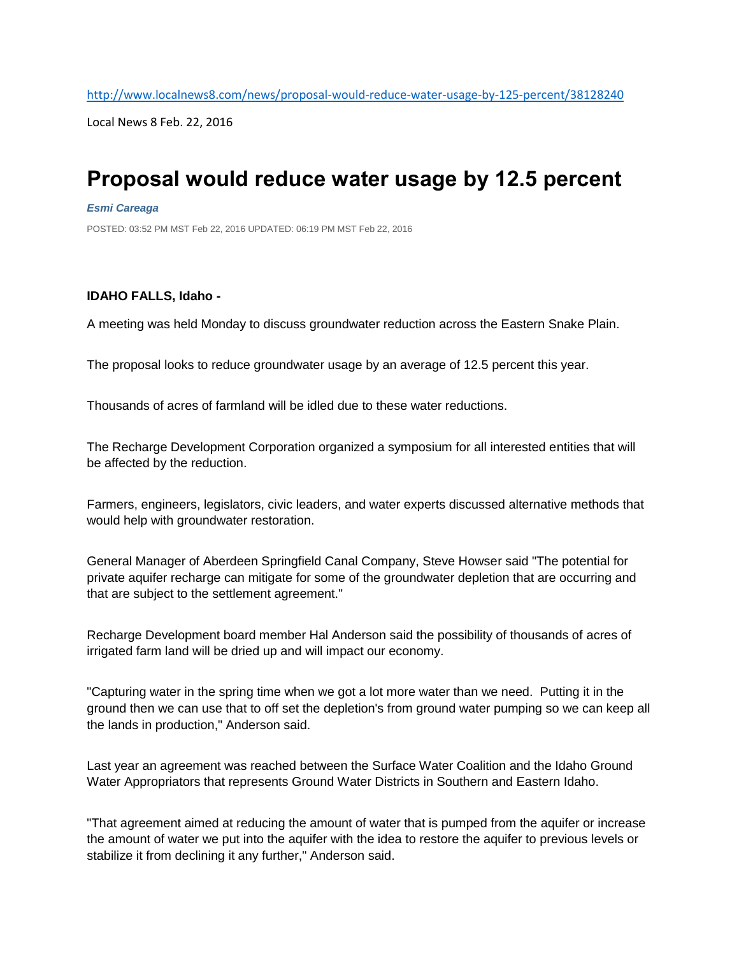Local News 8 Feb. 22, 2016

## **Proposal would reduce water usage by 12.5 percent**

## *[Esmi Careaga](http://www.localnews8.com/34045698)*

POSTED: 03:52 PM MST Feb 22, 2016 UPDATED: 06:19 PM MST Feb 22, 2016

## **IDAHO FALLS, Idaho -**

A meeting was held Monday to discuss groundwater reduction across the Eastern Snake Plain.

The proposal looks to reduce groundwater usage by an average of 12.5 percent this year.

Thousands of acres of farmland will be idled due to these water reductions.

The Recharge Development Corporation organized a symposium for all interested entities that will be affected by the reduction.

Farmers, engineers, legislators, civic leaders, and water experts discussed alternative methods that would help with groundwater restoration.

General Manager of Aberdeen Springfield Canal Company, Steve Howser said "The potential for private aquifer recharge can mitigate for some of the groundwater depletion that are occurring and that are subject to the settlement agreement."

Recharge Development board member Hal Anderson said the possibility of thousands of acres of irrigated farm land will be dried up and will impact our economy.

"Capturing water in the spring time when we got a lot more water than we need. Putting it in the ground then we can use that to off set the depletion's from ground water pumping so we can keep all the lands in production," Anderson said.

Last year an agreement was reached between the Surface Water Coalition and the Idaho Ground Water Appropriators that represents Ground Water Districts in Southern and Eastern Idaho.

"That agreement aimed at reducing the amount of water that is pumped from the aquifer or increase the amount of water we put into the aquifer with the idea to restore the aquifer to previous levels or stabilize it from declining it any further," Anderson said.